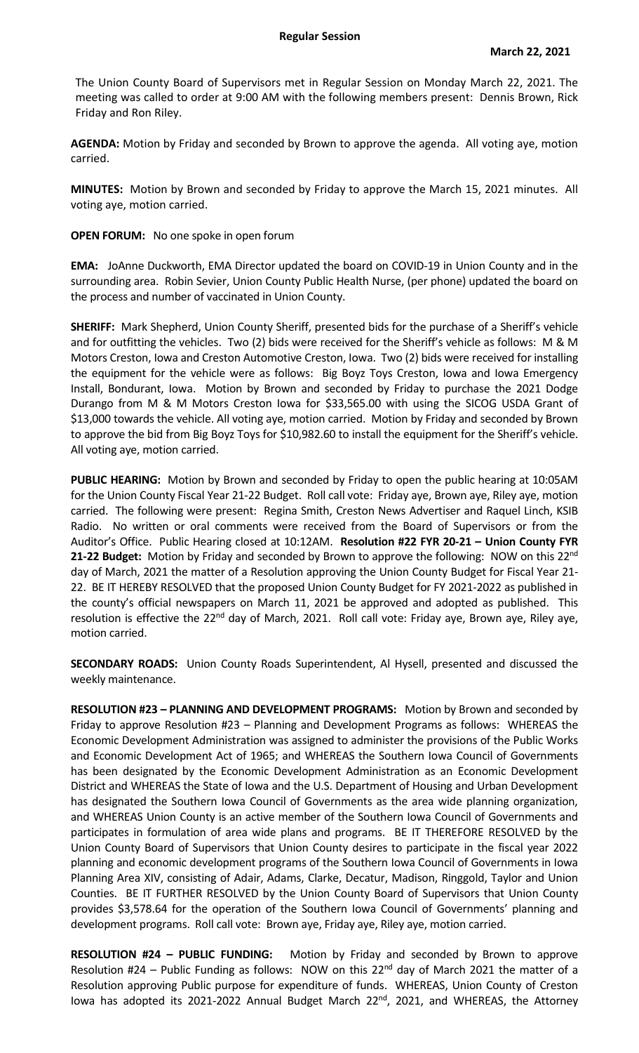The Union County Board of Supervisors met in Regular Session on Monday March 22, 2021. The meeting was called to order at 9:00 AM with the following members present: Dennis Brown, Rick Friday and Ron Riley.

**AGENDA:** Motion by Friday and seconded by Brown to approve the agenda. All voting aye, motion carried.

**MINUTES:** Motion by Brown and seconded by Friday to approve the March 15, 2021 minutes. All voting aye, motion carried.

**OPEN FORUM:** No one spoke in open forum

**EMA:** JoAnne Duckworth, EMA Director updated the board on COVID-19 in Union County and in the surrounding area. Robin Sevier, Union County Public Health Nurse, (per phone) updated the board on the process and number of vaccinated in Union County.

**SHERIFF:** Mark Shepherd, Union County Sheriff, presented bids for the purchase of a Sheriff's vehicle and for outfitting the vehicles. Two (2) bids were received for the Sheriff's vehicle as follows: M & M Motors Creston, Iowa and Creston Automotive Creston, Iowa. Two (2) bids were received for installing the equipment for the vehicle were as follows: Big Boyz Toys Creston, Iowa and Iowa Emergency Install, Bondurant, Iowa. Motion by Brown and seconded by Friday to purchase the 2021 Dodge Durango from M & M Motors Creston Iowa for \$33,565.00 with using the SICOG USDA Grant of \$13,000 towards the vehicle. All voting aye, motion carried. Motion by Friday and seconded by Brown to approve the bid from Big Boyz Toys for \$10,982.60 to install the equipment for the Sheriff's vehicle. All voting aye, motion carried.

**PUBLIC HEARING:** Motion by Brown and seconded by Friday to open the public hearing at 10:05AM for the Union County Fiscal Year 21-22 Budget. Roll call vote: Friday aye, Brown aye, Riley aye, motion carried. The following were present: Regina Smith, Creston News Advertiser and Raquel Linch, KSIB Radio. No written or oral comments were received from the Board of Supervisors or from the Auditor's Office. Public Hearing closed at 10:12AM. **Resolution #22 FYR 20-21 – Union County FYR**  21-22 Budget: Motion by Friday and seconded by Brown to approve the following: NOW on this 22<sup>nd</sup> day of March, 2021 the matter of a Resolution approving the Union County Budget for Fiscal Year 21- 22. BE IT HEREBY RESOLVED that the proposed Union County Budget for FY 2021-2022 as published in the county's official newspapers on March 11, 2021 be approved and adopted as published. This resolution is effective the 22<sup>nd</sup> day of March, 2021. Roll call vote: Friday aye, Brown aye, Riley aye, motion carried.

**SECONDARY ROADS:** Union County Roads Superintendent, Al Hysell, presented and discussed the weekly maintenance.

**RESOLUTION #23 – PLANNING AND DEVELOPMENT PROGRAMS:** Motion by Brown and seconded by Friday to approve Resolution #23 – Planning and Development Programs as follows: WHEREAS the Economic Development Administration was assigned to administer the provisions of the Public Works and Economic Development Act of 1965; and WHEREAS the Southern Iowa Council of Governments has been designated by the Economic Development Administration as an Economic Development District and WHEREAS the State of Iowa and the U.S. Department of Housing and Urban Development has designated the Southern Iowa Council of Governments as the area wide planning organization, and WHEREAS Union County is an active member of the Southern Iowa Council of Governments and participates in formulation of area wide plans and programs. BE IT THEREFORE RESOLVED by the Union County Board of Supervisors that Union County desires to participate in the fiscal year 2022 planning and economic development programs of the Southern Iowa Council of Governments in Iowa Planning Area XIV, consisting of Adair, Adams, Clarke, Decatur, Madison, Ringgold, Taylor and Union Counties. BE IT FURTHER RESOLVED by the Union County Board of Supervisors that Union County provides \$3,578.64 for the operation of the Southern Iowa Council of Governments' planning and development programs. Roll call vote: Brown aye, Friday aye, Riley aye, motion carried.

**RESOLUTION #24 – PUBLIC FUNDING:** Motion by Friday and seconded by Brown to approve Resolution #24 – Public Funding as follows: NOW on this  $22^{nd}$  day of March 2021 the matter of a Resolution approving Public purpose for expenditure of funds. WHEREAS, Union County of Creston lowa has adopted its 2021-2022 Annual Budget March 22<sup>nd</sup>, 2021, and WHEREAS, the Attorney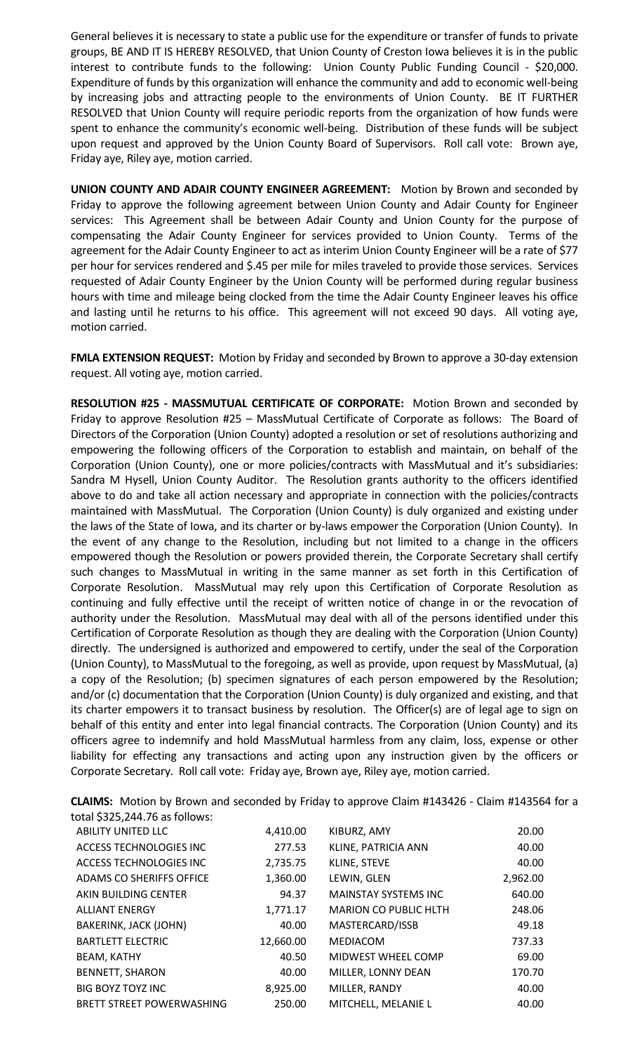General believes it is necessary to state a public use for the expenditure or transfer of funds to private groups, BE AND IT IS HEREBY RESOLVED, that Union County of Creston Iowa believes it is in the public interest to contribute funds to the following: Union County Public Funding Council - \$20,000. Expenditure of funds by this organization will enhance the community and add to economic well-being by increasing jobs and attracting people to the environments of Union County. BE IT FURTHER RESOLVED that Union County will require periodic reports from the organization of how funds were spent to enhance the community's economic well-being. Distribution of these funds will be subject upon request and approved by the Union County Board of Supervisors. Roll call vote: Brown aye, Friday aye, Riley aye, motion carried.

**UNION COUNTY AND ADAIR COUNTY ENGINEER AGREEMENT:** Motion by Brown and seconded by Friday to approve the following agreement between Union County and Adair County for Engineer services: This Agreement shall be between Adair County and Union County for the purpose of compensating the Adair County Engineer for services provided to Union County. Terms of the agreement for the Adair County Engineer to act as interim Union County Engineer will be a rate of \$77 per hour for services rendered and \$.45 per mile for miles traveled to provide those services. Services requested of Adair County Engineer by the Union County will be performed during regular business hours with time and mileage being clocked from the time the Adair County Engineer leaves his office and lasting until he returns to his office. This agreement will not exceed 90 days. All voting aye, motion carried.

**FMLA EXTENSION REQUEST:** Motion by Friday and seconded by Brown to approve a 30-day extension request. All voting aye, motion carried.

**RESOLUTION #25 - MASSMUTUAL CERTIFICATE OF CORPORATE:** Motion Brown and seconded by Friday to approve Resolution #25 – MassMutual Certificate of Corporate as follows: The Board of Directors of the Corporation (Union County) adopted a resolution or set of resolutions authorizing and empowering the following officers of the Corporation to establish and maintain, on behalf of the Corporation (Union County), one or more policies/contracts with MassMutual and it's subsidiaries: Sandra M Hysell, Union County Auditor. The Resolution grants authority to the officers identified above to do and take all action necessary and appropriate in connection with the policies/contracts maintained with MassMutual. The Corporation (Union County) is duly organized and existing under the laws of the State of Iowa, and its charter or by-laws empower the Corporation (Union County). In the event of any change to the Resolution, including but not limited to a change in the officers empowered though the Resolution or powers provided therein, the Corporate Secretary shall certify such changes to MassMutual in writing in the same manner as set forth in this Certification of Corporate Resolution. MassMutual may rely upon this Certification of Corporate Resolution as continuing and fully effective until the receipt of written notice of change in or the revocation of authority under the Resolution. MassMutual may deal with all of the persons identified under this Certification of Corporate Resolution as though they are dealing with the Corporation (Union County) directly. The undersigned is authorized and empowered to certify, under the seal of the Corporation (Union County), to MassMutual to the foregoing, as well as provide, upon request by MassMutual, (a) a copy of the Resolution; (b) specimen signatures of each person empowered by the Resolution; and/or (c) documentation that the Corporation (Union County) is duly organized and existing, and that its charter empowers it to transact business by resolution. The Officer(s) are of legal age to sign on behalf of this entity and enter into legal financial contracts. The Corporation (Union County) and its officers agree to indemnify and hold MassMutual harmless from any claim, loss, expense or other liability for effecting any transactions and acting upon any instruction given by the officers or Corporate Secretary. Roll call vote: Friday aye, Brown aye, Riley aye, motion carried.

| total \$325,244.76 as follows:   |           |                              |          |
|----------------------------------|-----------|------------------------------|----------|
| <b>ABILITY UNITED LLC</b>        | 4,410.00  | KIBURZ, AMY                  | 20.00    |
| ACCESS TECHNOLOGIES INC          | 277.53    | KLINE, PATRICIA ANN          | 40.00    |
| ACCESS TECHNOLOGIES INC          | 2,735.75  | KLINE, STEVE                 | 40.00    |
| ADAMS CO SHERIFFS OFFICE         | 1,360.00  | LEWIN, GLEN                  | 2,962.00 |
| AKIN BUILDING CENTER             | 94.37     | <b>MAINSTAY SYSTEMS INC</b>  | 640.00   |
| <b>ALLIANT ENERGY</b>            | 1,771.17  | <b>MARION CO PUBLIC HLTH</b> | 248.06   |
| BAKERINK, JACK (JOHN)            | 40.00     | MASTERCARD/ISSB              | 49.18    |
| <b>BARTLETT ELECTRIC</b>         | 12,660.00 | <b>MEDIACOM</b>              | 737.33   |
| BEAM, KATHY                      | 40.50     | MIDWEST WHEEL COMP           | 69.00    |
| <b>BENNETT, SHARON</b>           | 40.00     | MILLER, LONNY DEAN           | 170.70   |
| <b>BIG BOYZ TOYZ INC</b>         | 8,925.00  | MILLER, RANDY                | 40.00    |
| <b>BRETT STREET POWERWASHING</b> | 250.00    | MITCHELL, MELANIE L          | 40.00    |

**CLAIMS:** Motion by Brown and seconded by Friday to approve Claim #143426 - Claim #143564 for a total \$325,244.76 as follows: